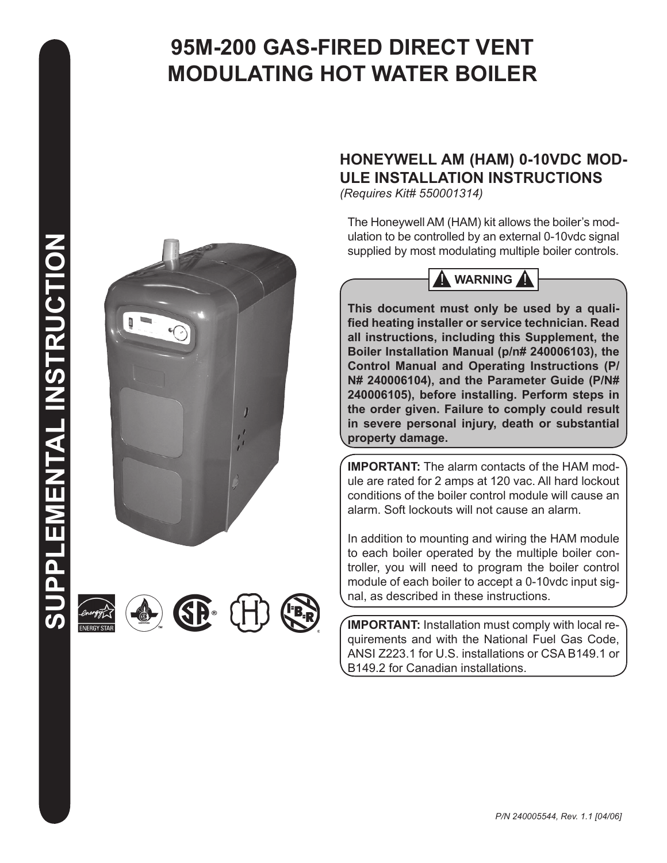# **95M-200 GAS-FIRED DIRECT VENT MODULATING HOT WATER BOILER**



SP®







# **HONEYWELL AM (HAM) 0-10VDC MOD-ULE INSTALLATION INSTRUCTIONS**

*(Requires Kit# 550001314)*

The Honeywell AM (HAM) kit allows the boiler's modulation to be controlled by an external 0-10vdc signal supplied by most modulating multiple boiler controls.



**This document must only be used by a qualified heating installer or service technician. Read all instructions, including this Supplement, the Boiler Installation Manual (p/n# 240006103), the Control Manual and Operating Instructions (P/ N# 240006104), and the Parameter Guide (P/N# 240006105), before installing. Perform steps in the order given. Failure to comply could result in severe personal injury, death or substantial property damage.** 

**IMPORTANT:** The alarm contacts of the HAM module are rated for 2 amps at 120 vac. All hard lockout conditions of the boiler control module will cause an alarm. Soft lockouts will not cause an alarm.

In addition to mounting and wiring the HAM module to each boiler operated by the multiple boiler controller, you will need to program the boiler control module of each boiler to accept a 0-10vdc input signal, as described in these instructions.

**IMPORTANT:** Installation must comply with local requirements and with the National Fuel Gas Code, ANSI Z223.1 for U.S. installations or CSA B149.1 or B149.2 for Canadian installations.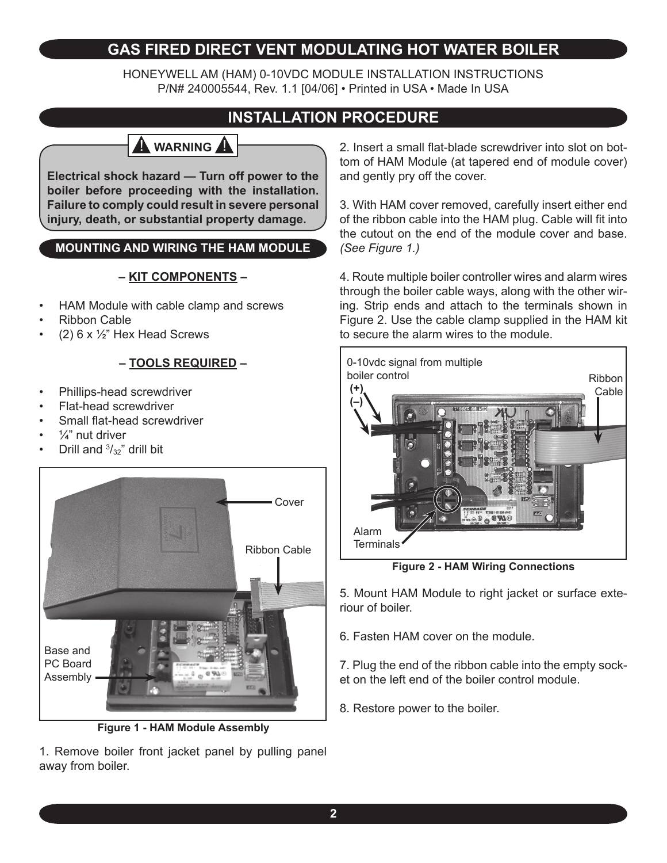# **GAS FIRED DIRECT VENT MODULATING HOT WATER BOILER**

HONEYWELL AM (HAM) 0-10VDC MODULE INSTALLATION INSTRUCTIONS P/N# 240005544, Rev. 1.1 [04/06] • Printed in USA • Made In USA

# **INSTALLATION PROCEDURE**

# **A** WARNING

**Electrical shock hazard — Turn off power to the boiler before proceeding with the installation. Failure to comply could result in severe personal injury, death, or substantial property damage.**

## **MOUNTING AND WIRING THE HAM MODULE**

### **– KIT COMPONENTS –**

- HAM Module with cable clamp and screws •
- Ribbon Cable •
- (2)  $6 \times \frac{1}{2}$ " Hex Head Screws •

## **– TOOLS REQUIRED –**

- Phillips-head screwdriver •
- Flat-head screwdriver •
- Small flat-head screwdriver •
- $\frac{1}{4}$ " nut driver •
- Drill and  $\frac{3}{32}$ " drill bit •



**Figure 1 - HAM Module Assembly**

1. Remove boiler front jacket panel by pulling panel away from boiler.

2. Insert a small flat-blade screwdriver into slot on bottom of HAM Module (at tapered end of module cover) and gently pry off the cover.

3. With HAM cover removed, carefully insert either end of the ribbon cable into the HAM plug. Cable will fit into the cutout on the end of the module cover and base. *(See Figure 1.)*

4. Route multiple boiler controller wires and alarm wires through the boiler cable ways, along with the other wiring. Strip ends and attach to the terminals shown in Figure 2. Use the cable clamp supplied in the HAM kit to secure the alarm wires to the module.



**Figure 2 - HAM Wiring Connections**

5. Mount HAM Module to right jacket or surface exteriour of boiler.

6. Fasten HAM cover on the module.

7. Plug the end of the ribbon cable into the empty socket on the left end of the boiler control module.

8. Restore power to the boiler.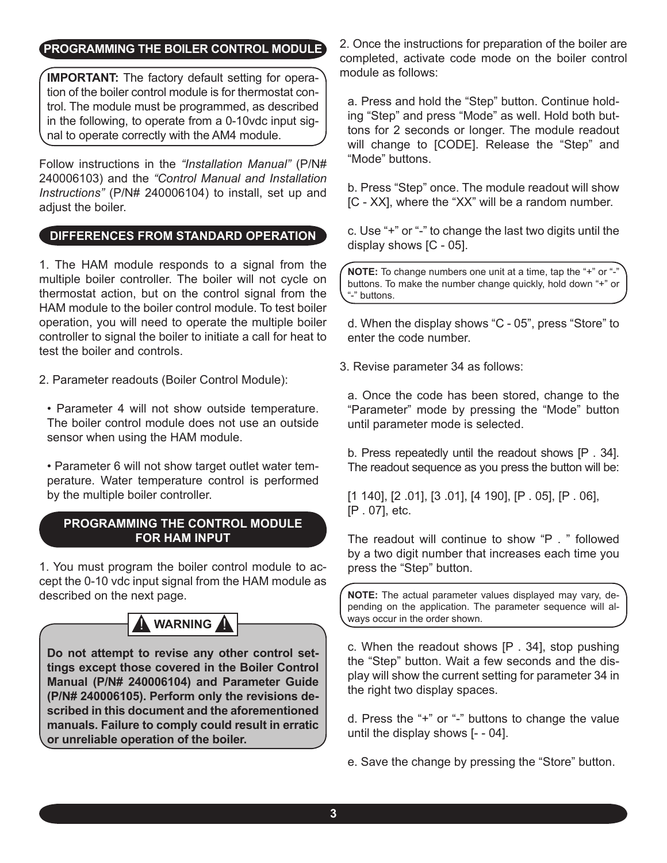## **PROGRAMMING THE BOILER CONTROL MODULE**

**IMPORTANT:** The factory default setting for operation of the boiler control module is for thermostat control. The module must be programmed, as described in the following, to operate from a 0-10vdc input signal to operate correctly with the AM4 module.

Follow instructions in the *"Installation Manual"* (P/N# 240006103) and the *"Control Manual and Installation Instructions"* (P/N# 240006104) to install, set up and adjust the boiler.

### **DIFFERENCES FROM STANDARD OPERATION**

1. The HAM module responds to a signal from the multiple boiler controller. The boiler will not cycle on thermostat action, but on the control signal from the HAM module to the boiler control module. To test boiler operation, you will need to operate the multiple boiler controller to signal the boiler to initiate a call for heat to test the boiler and controls.

2. Parameter readouts (Boiler Control Module):

- Parameter 4 will not show outside temperature. The boiler control module does not use an outside sensor when using the HAM module.
- Parameter 6 will not show target outlet water temperature. Water temperature control is performed by the multiple boiler controller.

#### **PROGRAMMING THE CONTROL MODULE FOR HAM INPUT**

1. You must program the boiler control module to accept the 0-10 vdc input signal from the HAM module as described on the next page.



**Do not attempt to revise any other control settings except those covered in the Boiler Control Manual (P/N# 240006104) and Parameter Guide (P/N# 240006105). Perform only the revisions described in this document and the aforementioned manuals. Failure to comply could result in erratic or unreliable operation of the boiler.**

2. Once the instructions for preparation of the boiler are completed, activate code mode on the boiler control module as follows:

a. Press and hold the "Step" button. Continue holding "Step" and press "Mode" as well. Hold both buttons for 2 seconds or longer. The module readout will change to [CODE]. Release the "Step" and "Mode" buttons.

b. Press "Step" once. The module readout will show [C - XX], where the "XX" will be a random number.

c. Use "+" or "-" to change the last two digits until the display shows [C - 05].

**NOTE:** To change numbers one unit at a time, tap the "+" or "-" buttons. To make the number change quickly, hold down "+" or "-" buttons.

d. When the display shows "C - 05", press "Store" to enter the code number.

3. Revise parameter 34 as follows:

a. Once the code has been stored, change to the "Parameter" mode by pressing the "Mode" button until parameter mode is selected.

b. Press repeatedly until the readout shows [P . 34]. The readout sequence as you press the button will be:

[1 140], [2 .01], [3 .01], [4 190], [P . 05], [P . 06], [P . 07], etc.

The readout will continue to show "P . " followed by a two digit number that increases each time you press the "Step" button.

**NOTE:** The actual parameter values displayed may vary, depending on the application. The parameter sequence will always occur in the order shown.

c. When the readout shows [P . 34], stop pushing the "Step" button. Wait a few seconds and the display will show the current setting for parameter 34 in the right two display spaces.

d. Press the "+" or "-" buttons to change the value until the display shows [- - 04].

e. Save the change by pressing the "Store" button.